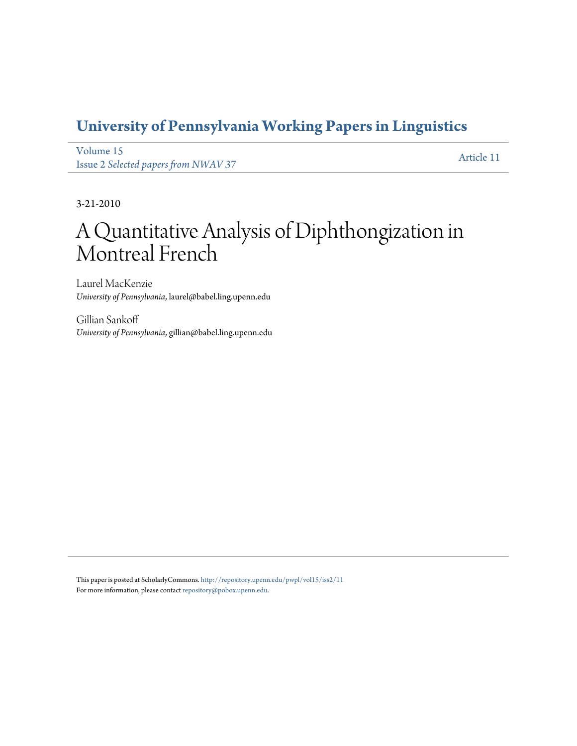# **[University of Pennsylvania Working Papers in Linguistics](http://repository.upenn.edu/pwpl)**

[Volume 15](http://repository.upenn.edu/pwpl/vol15) Issue 2 *[Selected papers from NWAV 37](http://repository.upenn.edu/pwpl/vol15/iss2)* [Article 11](http://repository.upenn.edu/pwpl/vol15/iss2/11)

3-21-2010

# A Quantitative Analysis of Diphthongization in Montreal French

Laurel MacKenzie *University of Pennsylvania*, laurel@babel.ling.upenn.edu

Gillian Sankoff *University of Pennsylvania*, gillian@babel.ling.upenn.edu

This paper is posted at ScholarlyCommons. <http://repository.upenn.edu/pwpl/vol15/iss2/11> For more information, please contact [repository@pobox.upenn.edu.](mailto:repository@pobox.upenn.edu)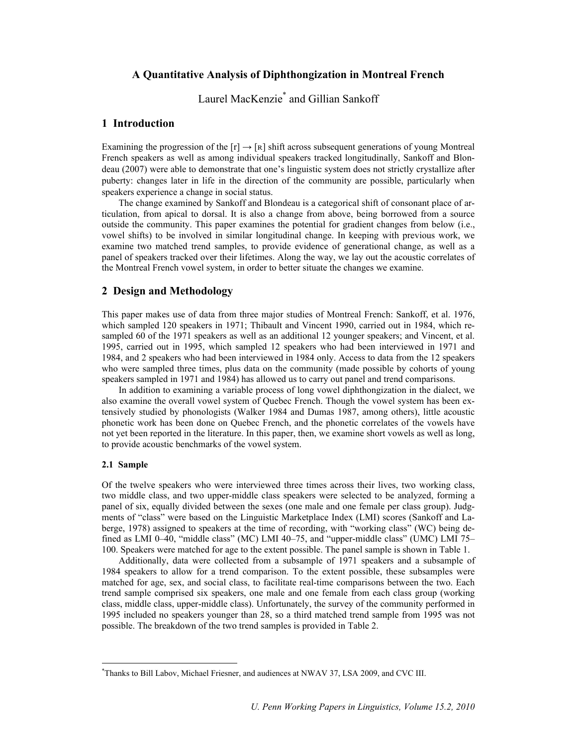# **A Quantitative Analysis of Diphthongization in Montreal French**

Laurel MacKenzie\* and Gillian Sankoff

# **1 Introduction**

Examining the progression of the  $[r] \rightarrow [R]$  shift across subsequent generations of young Montreal French speakers as well as among individual speakers tracked longitudinally, Sankoff and Blondeau (2007) were able to demonstrate that one's linguistic system does not strictly crystallize after puberty: changes later in life in the direction of the community are possible, particularly when speakers experience a change in social status.

The change examined by Sankoff and Blondeau is a categorical shift of consonant place of articulation, from apical to dorsal. It is also a change from above, being borrowed from a source outside the community. This paper examines the potential for gradient changes from below (i.e., vowel shifts) to be involved in similar longitudinal change. In keeping with previous work, we examine two matched trend samples, to provide evidence of generational change, as well as a panel of speakers tracked over their lifetimes. Along the way, we lay out the acoustic correlates of the Montreal French vowel system, in order to better situate the changes we examine.

## **2 Design and Methodology**

This paper makes use of data from three major studies of Montreal French: Sankoff, et al. 1976, which sampled 120 speakers in 1971; Thibault and Vincent 1990, carried out in 1984, which resampled 60 of the 1971 speakers as well as an additional 12 younger speakers; and Vincent, et al. 1995, carried out in 1995, which sampled 12 speakers who had been interviewed in 1971 and 1984, and 2 speakers who had been interviewed in 1984 only. Access to data from the 12 speakers who were sampled three times, plus data on the community (made possible by cohorts of young speakers sampled in 1971 and 1984) has allowed us to carry out panel and trend comparisons.

In addition to examining a variable process of long vowel diphthongization in the dialect, we also examine the overall vowel system of Quebec French. Though the vowel system has been extensively studied by phonologists (Walker 1984 and Dumas 1987, among others), little acoustic phonetic work has been done on Quebec French, and the phonetic correlates of the vowels have not yet been reported in the literature. In this paper, then, we examine short vowels as well as long, to provide acoustic benchmarks of the vowel system.

#### **2.1 Sample**

Of the twelve speakers who were interviewed three times across their lives, two working class, two middle class, and two upper-middle class speakers were selected to be analyzed, forming a panel of six, equally divided between the sexes (one male and one female per class group). Judgments of "class" were based on the Linguistic Marketplace Index (LMI) scores (Sankoff and Laberge, 1978) assigned to speakers at the time of recording, with "working class" (WC) being defined as LMI 0–40, "middle class" (MC) LMI 40–75, and "upper-middle class" (UMC) LMI 75– 100. Speakers were matched for age to the extent possible. The panel sample is shown in Table 1.

Additionally, data were collected from a subsample of 1971 speakers and a subsample of 1984 speakers to allow for a trend comparison. To the extent possible, these subsamples were matched for age, sex, and social class, to facilitate real-time comparisons between the two. Each trend sample comprised six speakers, one male and one female from each class group (working class, middle class, upper-middle class). Unfortunately, the survey of the community performed in 1995 included no speakers younger than 28, so a third matched trend sample from 1995 was not possible. The breakdown of the two trend samples is provided in Table 2.

 <sup>\*</sup> Thanks to Bill Labov, Michael Friesner, and audiences at NWAV 37, LSA 2009, and CVC III.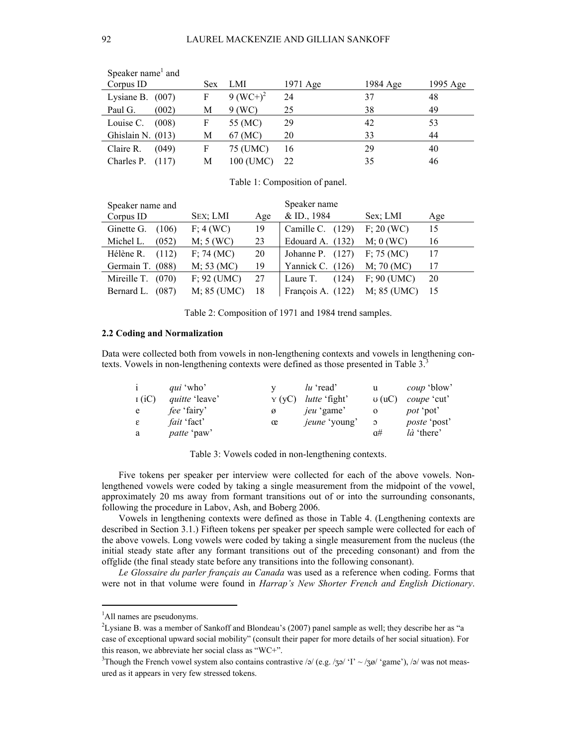| Speaker name <sup>1</sup> and |      |              |          |          |          |
|-------------------------------|------|--------------|----------|----------|----------|
| Corpus ID                     | Sex. | LMI          | 1971 Age | 1984 Age | 1995 Age |
| Lysiane B. $(007)$            | F    | 9 $(WC^+)^2$ | 24       | 37       | 48       |
| Paul G.<br>(002)              | М    | $9$ (WC)     | 25       | 38       | 49       |
| Louise C.<br>(008)            | F    | 55 (MC)      | 29       | 42       | 53       |
| Ghislain N. (013)             | М    | 67 (MC)      | 20       | 33       | 44       |
| Claire R.<br>(049)            | F    | 75 (UMC)     | 16       | 29       | 40       |
| Charles P.<br>(117)           | М    | 100 (UMC)    | 22       | 35       | 46       |

Table 1: Composition of panel.

| Speaker name and    |               |     | Speaker name        |              |     |  |  |  |  |
|---------------------|---------------|-----|---------------------|--------------|-----|--|--|--|--|
| Corpus ID           | SEX; LMI      | Age | $&$ ID., 1984       | Sex: LMI     | Age |  |  |  |  |
| Ginette G.<br>(106) | F: 4(WC)      | 19  | Camille C.<br>(129) | F: 20 (WC)   | 15  |  |  |  |  |
| Michel L.<br>(052)  | M; 5(WC)      | 23  | Edouard A. $(132)$  | $M$ ; 0 (WC) | 16  |  |  |  |  |
| Hélène R.<br>(112)  | F: 74 (MC)    | 20  | Johanne P. $(127)$  | F: 75(MC)    | 17  |  |  |  |  |
| Germain T. (088)    | M; 53 (MC)    | 19  | Yannick C. $(126)$  | M; 70 (MC)   | 17  |  |  |  |  |
| Mireille T. $(070)$ | $F: 92$ (UMC) | 27  | Laure T.<br>(124)   | F: 90 (UMC)  | 20  |  |  |  |  |
| Bernard L.<br>(087) | M; 85 (UMC)   | 18  | François A. (122)   | M; 85 (UMC)  | 15  |  |  |  |  |

Table 2: Composition of 1971 and 1984 trend samples.

#### **2.2 Coding and Normalization**

Data were collected both from vowels in non-lengthening contexts and vowels in lengthening contexts. Vowels in non-lengthening contexts were defined as those presented in Table 3.<sup>3</sup>

| $\mathbf{i}$  | <i>qui</i> 'who'      |       | lu 'read'            | u              | <i>coup</i> 'blow'  |
|---------------|-----------------------|-------|----------------------|----------------|---------------------|
| I(iC)         | <i>quitte</i> 'leave' | Y(VC) | <i>lutte</i> 'fight' | U(1C)          | <i>coupe</i> 'cut'  |
| e             | <i>fee</i> 'fairy'    | ø     | jeu 'game'           |                | <i>pot</i> 'pot'    |
| $\varepsilon$ | <i>fait</i> 'fact'    | œ     | jeune 'young'        | $\mathfrak{O}$ | <i>poste</i> 'post' |
| a             | <i>patte</i> 'paw'    |       |                      | $\alpha$ #     | là 'there'          |

Table 3: Vowels coded in non-lengthening contexts.

Five tokens per speaker per interview were collected for each of the above vowels. Nonlengthened vowels were coded by taking a single measurement from the midpoint of the vowel, approximately 20 ms away from formant transitions out of or into the surrounding consonants, following the procedure in Labov, Ash, and Boberg 2006.

Vowels in lengthening contexts were defined as those in Table 4. (Lengthening contexts are described in Section 3.1.) Fifteen tokens per speaker per speech sample were collected for each of the above vowels. Long vowels were coded by taking a single measurement from the nucleus (the initial steady state after any formant transitions out of the preceding consonant) and from the offglide (the final steady state before any transitions into the following consonant).

*Le Glossaire du parler français au Canada* was used as a reference when coding. Forms that were not in that volume were found in *Harrap's New Shorter French and English Dictionary*.

 $\frac{1}{1}$ <sup>1</sup>All names are pseudonyms.

<sup>2</sup> Lysiane B. was a member of Sankoff and Blondeau's (2007) panel sample as well; they describe her as "a case of exceptional upward social mobility" (consult their paper for more details of her social situation). For this reason, we abbreviate her social class as "WC+".

<sup>&</sup>lt;sup>3</sup>Though the French vowel system also contains contrastive /ə/ (e.g. /zə/ 'I' ~ /zø/ 'game'), /ə/ was not measured as it appears in very few stressed tokens.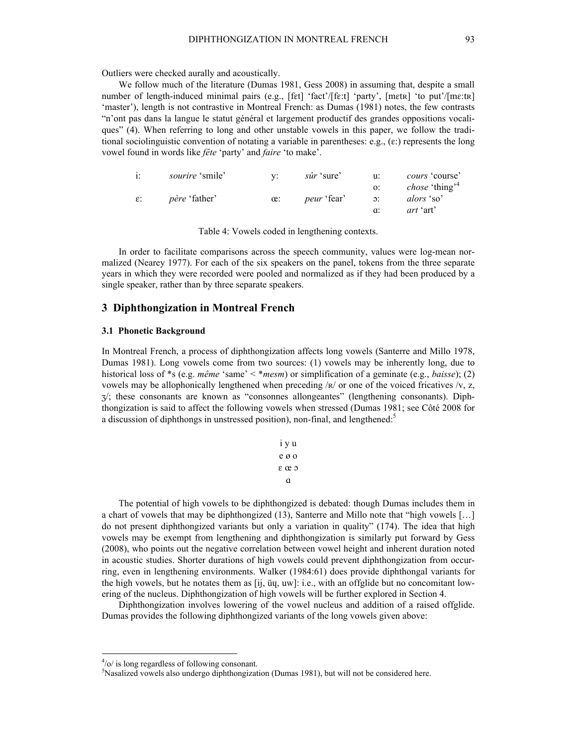Outliers were checked aurally and acoustically.

We follow much of the literature (Dumas 1981, Gess 2008) in assuming that, despite a small number of length-induced minimal pairs (e.g., [fɛt] 'fact'/[fɛːt] 'party', [mɛtʀ] 'to put'/[mɛːtʀ] 'master'), length is not contrastive in Montreal French: as Dumas (1981) notes, the few contrasts "n'ont pas dans la langue le statut général et largement productif des grandes oppositions vocaliques" (4). When referring to long and other unstable vowels in this paper, we follow the traditional sociolinguistic convention of notating a variable in parentheses: e.g.,  $(\varepsilon)$  represents the long vowel found in words like *fête* 'party' and *faire* 'to make'.

| i:              | <i>sourire</i> 'smile' |            | sûr 'sure'         | u:              | <i>cours</i> 'course'             |
|-----------------|------------------------|------------|--------------------|-----------------|-----------------------------------|
|                 |                        |            |                    |                 | <i>chose</i> 'thing' <sup>4</sup> |
| $\varepsilon$ : | <i>père</i> 'father'   | $\alpha$ : | <i>peur</i> 'fear' | $\mathcal{D}$ : | alors 'so'                        |
|                 |                        |            |                    |                 | <i>art</i> 'art'                  |

Table 4: Vowels coded in lengthening contexts.

In order to facilitate comparisons across the speech community, values were log-mean normalized (Nearey 1977). For each of the six speakers on the panel, tokens from the three separate years in which they were recorded were pooled and normalized as if they had been produced by a single speaker, rather than by three separate speakers.

## **3 Diphthongization in Montreal French**

#### **3.1 Phonetic Background**

In Montreal French, a process of diphthongization affects long vowels (Santerre and Millo 1978, Dumas 1981). Long vowels come from two sources: (1) vowels may be inherently long, due to historical loss of \*s (e.g. *même* 'same' < \**mesm*) or simplification of a geminate (e.g., *baisse*); (2) vowels may be allophonically lengthened when preceding  $/R/$  or one of the voiced fricatives  $/V$ , z,  $\gamma$ ; these consonants are known as "consonnes allongeantes" (lengthening consonants). Diphthongization is said to affect the following vowels when stressed (Dumas 1981; see Côté 2008 for a discussion of diphthongs in unstressed position), non-final, and lengthened.<sup>5</sup>

| 1 y u |
|-------|
| e ø o |
| εœρ   |
| a     |

The potential of high vowels to be diphthongized is debated: though Dumas includes them in a chart of vowels that may be diphthongized (13), Santerre and Millo note that "high vowels […] do not present diphthongized variants but only a variation in quality" (174). The idea that high vowels may be exempt from lengthening and diphthongization is similarly put forward by Gess (2008), who points out the negative correlation between vowel height and inherent duration noted in acoustic studies. Shorter durations of high vowels could prevent diphthongization from occurring, even in lengthening environments. Walker (1984:61) does provide diphthongal variants for the high vowels, but he notates them as  $[ij, \ddot{u}q, \dot{w}j]$ : i.e., with an offglide but no concomitant lowering of the nucleus. Diphthongization of high vowels will be further explored in Section 4.

Diphthongization involves lowering of the vowel nucleus and addition of a raised offglide. Dumas provides the following diphthongized variants of the long vowels given above:

 $\frac{1}{4}$  $\frac{4}{0}$  is long regardless of following consonant.

<sup>5</sup> Nasalized vowels also undergo diphthongization (Dumas 1981), but will not be considered here.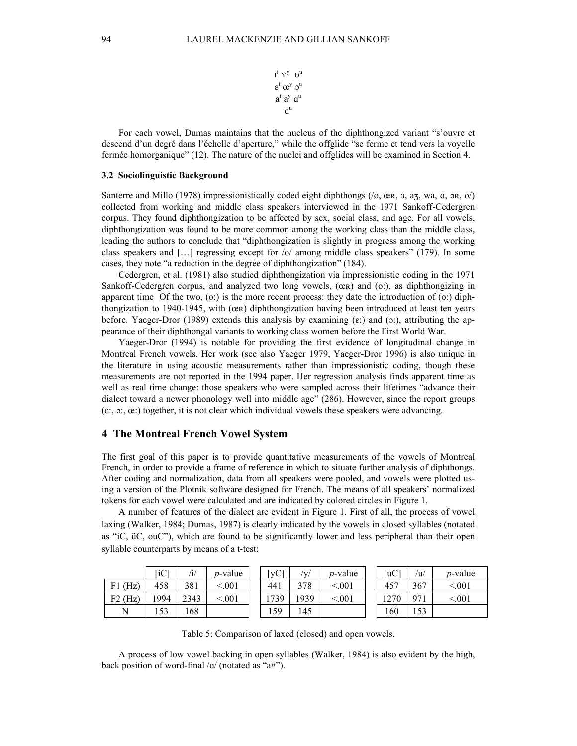$I^i Y^y U^u$  $\epsilon^i$   $\alpha^y$   $\mathfrak{I}^u$  $a^i$   $a^y$   $a^u$  $a^{\mathrm{u}}$ 

For each vowel, Dumas maintains that the nucleus of the diphthongized variant "s'ouvre et descend d'un degré dans l'échelle d'aperture," while the offglide "se ferme et tend vers la voyelle fermée homorganique" (12). The nature of the nuclei and offglides will be examined in Section 4.

#### **3.2 Sociolinguistic Background**

Santerre and Millo (1978) impressionistically coded eight diphthongs ( $\alpha$ , œR, 3, az, wa, a, ɔR, o $\beta$ ) collected from working and middle class speakers interviewed in the 1971 Sankoff-Cedergren corpus. They found diphthongization to be affected by sex, social class, and age. For all vowels, diphthongization was found to be more common among the working class than the middle class, leading the authors to conclude that "diphthongization is slightly in progress among the working class speakers and […] regressing except for /o/ among middle class speakers" (179). In some cases, they note "a reduction in the degree of diphthongization" (184).

Cedergren, et al. (1981) also studied diphthongization via impressionistic coding in the 1971 Sankoff-Cedergren corpus, and analyzed two long vowels,  $(\alpha \mathbf{r})$  and  $(\alpha)$ , as diphthongizing in apparent time Of the two,  $(o)$  is the more recent process: they date the introduction of  $(o)$ ; diphthongization to 1940-1945, with (œʀ) diphthongization having been introduced at least ten years before. Yaeger-Dror (1989) extends this analysis by examining  $(\epsilon)$  and  $(\infty)$ , attributing the appearance of their diphthongal variants to working class women before the First World War.

Yaeger-Dror (1994) is notable for providing the first evidence of longitudinal change in Montreal French vowels. Her work (see also Yaeger 1979, Yaeger-Dror 1996) is also unique in the literature in using acoustic measurements rather than impressionistic coding, though these measurements are not reported in the 1994 paper. Her regression analysis finds apparent time as well as real time change: those speakers who were sampled across their lifetimes "advance their dialect toward a newer phonology well into middle age" (286). However, since the report groups  $(\epsilon, \rho, \alpha)$ ; together, it is not clear which individual vowels these speakers were advancing.

#### **4 The Montreal French Vowel System**

The first goal of this paper is to provide quantitative measurements of the vowels of Montreal French, in order to provide a frame of reference in which to situate further analysis of diphthongs. After coding and normalization, data from all speakers were pooled, and vowels were plotted using a version of the Plotnik software designed for French. The means of all speakers' normalized tokens for each vowel were calculated and are indicated by colored circles in Figure 1.

A number of features of the dialect are evident in Figure 1. First of all, the process of vowel laxing (Walker, 1984; Dumas, 1987) is clearly indicated by the vowels in closed syllables (notated as "iC, üC, ouC"), which are found to be significantly lower and less peripheral than their open syllable counterparts by means of a t-test:

|            | [iC]        | /i/  | <i>p</i> -value | $\lceil \mathbf{v} \mathbf{C} \rceil$ | /v,  | <i>p</i> -value | [uC] | /u  | <i>p</i> -value |
|------------|-------------|------|-----------------|---------------------------------------|------|-----------------|------|-----|-----------------|
| (Hz)<br>F1 | 458         | 381  | < 001           | 441                                   | 378  | < 001           | 457  | 367 | < 001           |
| $F2$ (Hz)  | 1994        | 2343 | < 001           | 739                                   | 1939 | < 001           | 1270 | 971 | < 001           |
| N          | 52<br>1 J J | 168  |                 | 159                                   | 45   |                 | 160  | 153 |                 |

Table 5: Comparison of laxed (closed) and open vowels.

A process of low vowel backing in open syllables (Walker, 1984) is also evident by the high, back position of word-final  $\alpha$  (notated as "a#").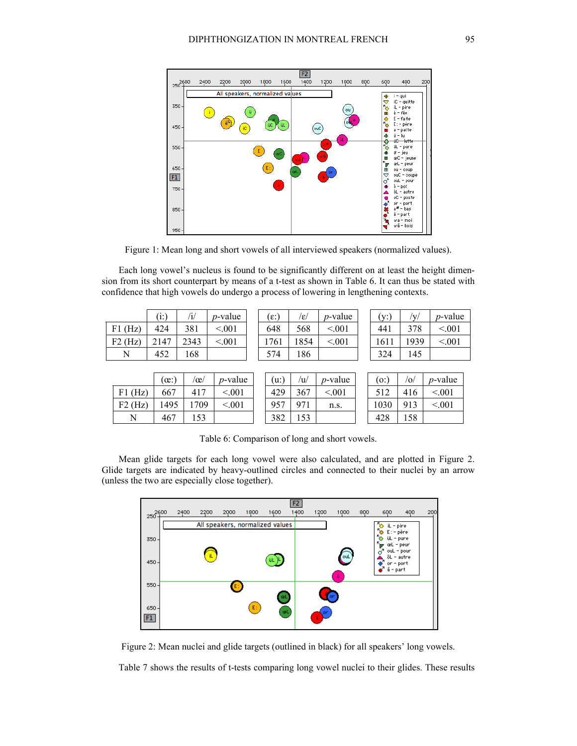

Figure 1: Mean long and short vowels of all interviewed speakers (normalized values).

Each long vowel's nucleus is found to be significantly different on at least the height dimension from its short counterpart by means of a t-test as shown in Table 6. It can thus be stated with confidence that high vowels do undergo a process of lowering in lengthening contexts.

|              | E)   | /i/  | $p$ -value | ີ ε:ົ | /ε/  | $p$ -value | $(v^{\dagger})$<br>$\sim$ | $\mathbf{v}$ | <i>p</i> -valu |
|--------------|------|------|------------|-------|------|------------|---------------------------|--------------|----------------|
| (Hz)<br>' F1 | 424  | 381  | < 001      | 648   | 568  | < 001      | 441                       | 378          | < 0.01         |
| (Hz)<br>F2   | 2147 | 2343 | < 001      | 1761  | 1854 | < 0.01     | 1611                      | 1939         | < 0.01         |
| N            | 452  | 168  |            | - 74  | 186  |            | 324                       | 145          |                |

| $(\epsilon)$ | /ɛ/  | <i>p</i> -valu |
|--------------|------|----------------|
| 648          | 568  | < 0.01         |
| 1761         | 1854 | < 0.01         |
|              |      |                |

| (i)  | /i/  | $p$ -value | $[\epsilon:$ | Ιεı  | $p$ -value | $'V$ :  | 'V/  | <i>p</i> -value |
|------|------|------------|--------------|------|------------|---------|------|-----------------|
| 424  | 381  | < 0.01     | 648          | 568  | < 0.01     | 441     | 378  | < 0.01          |
| .147 | 2343 | < 0.01     | 761          | 1854 | < 0.01     | $161_1$ | 1939 | < 0.01          |
| 452  | 168  |            | 574          | 186  |            | 324     | 145  |                 |

|            | $\alpha$ : | $\alpha$    | <i>p</i> -value | (u:) | 'u/         | <i>p</i> -value | $\overline{0}$ : | $\sigma$ | <i>p</i> -valu |
|------------|------------|-------------|-----------------|------|-------------|-----------------|------------------|----------|----------------|
| (Hz)<br>F1 | 667        | 417         | < 001           | 429  | 367         | < 001           |                  | 416      | < 001          |
| $F2$ (Hz)  | 1495       | 709         | < 001           | 957  | Q71         | n.s.            | 1030             | 913      | $\leq 001$     |
| N          | 467        | 52<br>1 J J |                 | 382  | 53<br>1 J J |                 | 428              | 158      |                |

| (u) | /u/ | $p$ -Va      |
|-----|-----|--------------|
| 429 | 367 | ſ            |
| 957 | 971 | $\mathbf{n}$ |
| 38C |     |              |

| $(\alpha)$ | $\alpha$ | $p$ -value | (u:        | 'w  | $p$ -value | (0)  | $\sigma'$ | <i>p</i> -value |
|------------|----------|------------|------------|-----|------------|------|-----------|-----------------|
| 667        | 417      | < 001      | 429        | 367 | < 001      |      | 416       | < 0.01          |
| 1495       | 709      | < 001      | 957        | 971 | n.s.       | 1030 | 913       | < 001           |
| 467        |          |            | າ ດາ<br>^^ |     |            |      | 58        |                 |

Table 6: Comparison of long and short vowels.

Mean glide targets for each long vowel were also calculated, and are plotted in Figure 2. Glide targets are indicated by heavy-outlined circles and connected to their nuclei by an arrow (unless the two are especially close together).



Figure 2: Mean nuclei and glide targets (outlined in black) for all speakers' long vowels.

Table 7 shows the results of t-tests comparing long vowel nuclei to their glides. These results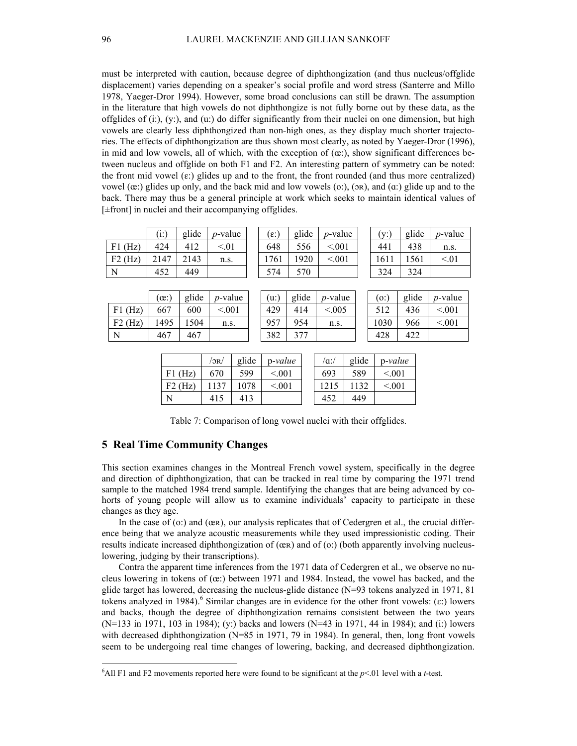must be interpreted with caution, because degree of diphthongization (and thus nucleus/offglide displacement) varies depending on a speaker's social profile and word stress (Santerre and Millo 1978, Yaeger-Dror 1994). However, some broad conclusions can still be drawn. The assumption in the literature that high vowels do not diphthongize is not fully borne out by these data, as the offglides of  $(i:)$ ,  $(y:)$ , and  $(u:)$  do differ significantly from their nuclei on one dimension, but high vowels are clearly less diphthongized than non-high ones, as they display much shorter trajectories. The effects of diphthongization are thus shown most clearly, as noted by Yaeger-Dror (1996), in mid and low vowels, all of which, with the exception of  $(\alpha)$ ; show significant differences between nucleus and offglide on both F1 and F2. An interesting pattern of symmetry can be noted: the front mid vowel  $(\varepsilon)$  glides up and to the front, the front rounded (and thus more centralized) vowel  $(\alpha)$ : glides up only, and the back mid and low vowels  $(\alpha)$ ;  $(\alpha)$ , and  $(\alpha)$ ; glide up and to the back. There may thus be a general principle at work which seeks to maintain identical values of [±front] in nuclei and their accompanying offglides.

|           | (i:) | glide | <i>p</i> -value | $\epsilon$ :) | glide | <i>p</i> -value | (v:  | glide | <i>p</i> -value |
|-----------|------|-------|-----------------|---------------|-------|-----------------|------|-------|-----------------|
| $F1$ (Hz) | 424  | 412   | < 01            | 648           | 556   | < 001           | 441  | 438   | n.s.            |
| $F2$ (Hz) | 2147 | 2143  | n.s.            | 1761          | 1920  | < 001           | 1611 | 561   | < 01            |
| N         | 452  | 449   |                 | 574           | 570   |                 | 324  | 324   |                 |
|           |      |       |                 |               |       |                 |      |       |                 |

|            | (œ:  | glide | <i>p</i> -value | u:  | glide    | <i>p</i> -value | [0:  | glide | <i>p</i> -valu |
|------------|------|-------|-----------------|-----|----------|-----------------|------|-------|----------------|
| (Hz)<br>F1 | 667  | 600   | < 001           | 429 | 414      | ${<}005$        |      | 436   | 0.001          |
| F2<br>(Hz) | 1495 | .504  | n.s.            | 957 | 954      | n.s.            | 1030 | 966   | < 0.01         |
| N          | 467  | 467   |                 | 382 | 277<br>╯ |                 | 428  | 422   |                |

| . 147         | 2143  | n.s.       | 1701 | 1920  | $\sim$ UU $\sim$ | 1011 | 1201  | $\leq$ .U1      |
|---------------|-------|------------|------|-------|------------------|------|-------|-----------------|
| 452           | 449   |            | 574  | 570   |                  | 324  | 324   |                 |
|               |       |            |      |       |                  |      |       |                 |
| $(e^{\cdot})$ | glide | $p$ -value | (u:) | glide | <i>p</i> -value  | (0)  | glide | <i>p</i> -value |
| 667           | 600   | < 0.01     | 429  | 414   | < 0.005          | 512  | 436   | < 0.01          |
|               |       |            |      |       |                  |      |       |                 |

| (0)  | glide | <i>p</i> -value |
|------|-------|-----------------|
| 512  | 436   | < 001           |
| 1030 | 966   | < 001           |
|      |       |                 |

|            | $'$ or/ | glide | $p-value$ | $\alpha$ :/ | glide | $p-value$ |
|------------|---------|-------|-----------|-------------|-------|-----------|
| Ήz<br>F1   | 670     | 599   | < 001     | 693         | 589   | < 001     |
| (Hz)<br>F2 |         | 1078  | ${<}001$  | 1215        |       | < 001     |
| N          | 415     | 413   |           | 452         | 449   |           |

Table 7: Comparison of long vowel nuclei with their offglides.

# **5 Real Time Community Changes**

This section examines changes in the Montreal French vowel system, specifically in the degree and direction of diphthongization, that can be tracked in real time by comparing the 1971 trend sample to the matched 1984 trend sample. Identifying the changes that are being advanced by cohorts of young people will allow us to examine individuals' capacity to participate in these changes as they age.

In the case of (o:) and (œR), our analysis replicates that of Cedergren et al., the crucial difference being that we analyze acoustic measurements while they used impressionistic coding. Their results indicate increased diphthongization of (œʀ) and of (o:) (both apparently involving nucleuslowering, judging by their transcriptions).

Contra the apparent time inferences from the 1971 data of Cedergren et al., we observe no nucleus lowering in tokens of  $(\infty)$  between 1971 and 1984. Instead, the vowel has backed, and the glide target has lowered, decreasing the nucleus-glide distance (N=93 tokens analyzed in 1971, 81 tokens analyzed in 1984).<sup>6</sup> Similar changes are in evidence for the other front vowels:  $(\varepsilon)$  lowers and backs, though the degree of diphthongization remains consistent between the two years (N=133 in 1971, 103 in 1984); (y:) backs and lowers (N=43 in 1971, 44 in 1984); and (i:) lowers with decreased diphthongization (N=85 in 1971, 79 in 1984). In general, then, long front vowels seem to be undergoing real time changes of lowering, backing, and decreased diphthongization.

 <sup>6</sup> <sup>6</sup>All F1 and F2 movements reported here were found to be significant at the  $p<01$  level with a *t*-test.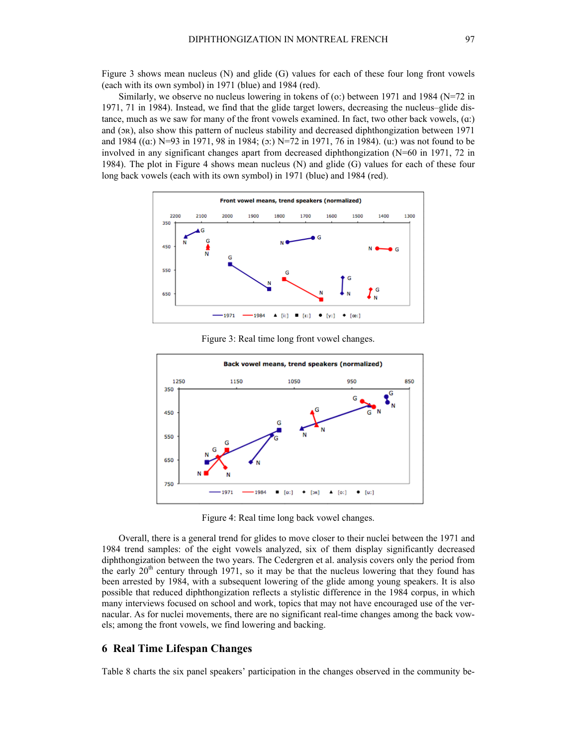Figure 3 shows mean nucleus (N) and glide (G) values for each of these four long front vowels (each with its own symbol) in 1971 (blue) and 1984 (red).

Similarly, we observe no nucleus lowering in tokens of (o:) between 1971 and 1984 ( $N=72$  in 1971, 71 in 1984). Instead, we find that the glide target lowers, decreasing the nucleus–glide distance, much as we saw for many of the front vowels examined. In fact, two other back vowels, (ɑ:) and (ɔʀ), also show this pattern of nucleus stability and decreased diphthongization between 1971 and 1984 ((ɑ:) N=93 in 1971, 98 in 1984; (ɔ:) N=72 in 1971, 76 in 1984). (u:) was not found to be involved in any significant changes apart from decreased diphthongization (N=60 in 1971, 72 in 1984). The plot in Figure 4 shows mean nucleus (N) and glide (G) values for each of these four long back vowels (each with its own symbol) in 1971 (blue) and 1984 (red).



Figure 3: Real time long front vowel changes.



Figure 4: Real time long back vowel changes.

Overall, there is a general trend for glides to move closer to their nuclei between the 1971 and 1984 trend samples: of the eight vowels analyzed, six of them display significantly decreased diphthongization between the two years. The Cedergren et al. analysis covers only the period from the early  $20<sup>th</sup>$  century through 1971, so it may be that the nucleus lowering that they found has been arrested by 1984, with a subsequent lowering of the glide among young speakers. It is also possible that reduced diphthongization reflects a stylistic difference in the 1984 corpus, in which many interviews focused on school and work, topics that may not have encouraged use of the vernacular. As for nuclei movements, there are no significant real-time changes among the back vowels; among the front vowels, we find lowering and backing.

### **6 Real Time Lifespan Changes**

Table 8 charts the six panel speakers' participation in the changes observed in the community be-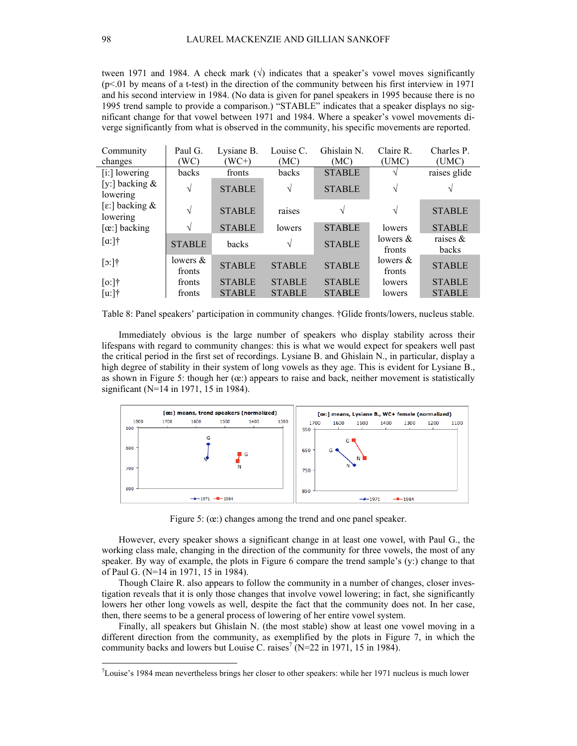tween 1971 and 1984. A check mark ( $\sqrt{ }$ ) indicates that a speaker's vowel moves significantly  $(p<01)$  by means of a t-test) in the direction of the community between his first interview in 1971 and his second interview in 1984. (No data is given for panel speakers in 1995 because there is no 1995 trend sample to provide a comparison.) "STABLE" indicates that a speaker displays no significant change for that vowel between 1971 and 1984. Where a speaker's vowel movements diverge significantly from what is observed in the community, his specific movements are reported.

| Community                     | Paul G.            | Lysiane B.    | Louise C.     | Ghislain N.   | Claire R.             | Charles P.           |
|-------------------------------|--------------------|---------------|---------------|---------------|-----------------------|----------------------|
| changes                       | WC)                | $(WC+)$       | (MC)          | (MC)          | (UMC)                 | (UMC)                |
| [i:] lowering                 | backs              | fronts        | backs         | <b>STABLE</b> |                       | raises glide         |
| [y:] backing $\&$<br>lowering | V                  | <b>STABLE</b> | V             | <b>STABLE</b> | V                     |                      |
| [ε:] backing &<br>lowering    | V                  | <b>STABLE</b> | raises        |               | V                     | <b>STABLE</b>        |
| $[\alpha:]$ backing           |                    | <b>STABLE</b> | lowers        | <b>STABLE</b> | lowers                | <b>STABLE</b>        |
| $\lceil a \rceil$ †           | <b>STABLE</b>      | backs         | V             | <b>STABLE</b> | lowers $\&$<br>fronts | raises $\&$<br>backs |
| $[0:]$ †                      | lowers &<br>fronts | <b>STABLE</b> | <b>STABLE</b> | <b>STABLE</b> | lowers $\&$<br>fronts | <b>STABLE</b>        |
| $[0:]$ †                      | fronts             | <b>STABLE</b> | <b>STABLE</b> | <b>STABLE</b> | lowers                | <b>STABLE</b>        |
| $[u:]\dagger$                 | fronts             | <b>STABLE</b> | <b>STABLE</b> | <b>STABLE</b> | lowers                | <b>STABLE</b>        |

Table 8: Panel speakers' participation in community changes. †Glide fronts/lowers, nucleus stable.

Immediately obvious is the large number of speakers who display stability across their lifespans with regard to community changes: this is what we would expect for speakers well past the critical period in the first set of recordings. Lysiane B. and Ghislain N., in particular, display a high degree of stability in their system of long vowels as they age. This is evident for Lysiane B., as shown in Figure 5: though her  $(\alpha)$ ; appears to raise and back, neither movement is statistically significant (N=14 in 1971, 15 in 1984).



Figure 5: ( $\alpha$ :) changes among the trend and one panel speaker.

However, every speaker shows a significant change in at least one vowel, with Paul G., the working class male, changing in the direction of the community for three vowels, the most of any speaker. By way of example, the plots in Figure 6 compare the trend sample's (y:) change to that of Paul G. (N=14 in 1971, 15 in 1984).

Though Claire R. also appears to follow the community in a number of changes, closer investigation reveals that it is only those changes that involve vowel lowering; in fact, she significantly lowers her other long vowels as well, despite the fact that the community does not. In her case, then, there seems to be a general process of lowering of her entire vowel system.

Finally, all speakers but Ghislain N. (the most stable) show at least one vowel moving in a different direction from the community, as exemplified by the plots in Figure 7, in which the community backs and lowers but Louise C. raises<sup>7</sup> (N=22 in 1971, 15 in 1984).

 <sup>7</sup> Louise's 1984 mean nevertheless brings her closer to other speakers: while her 1971 nucleus is much lower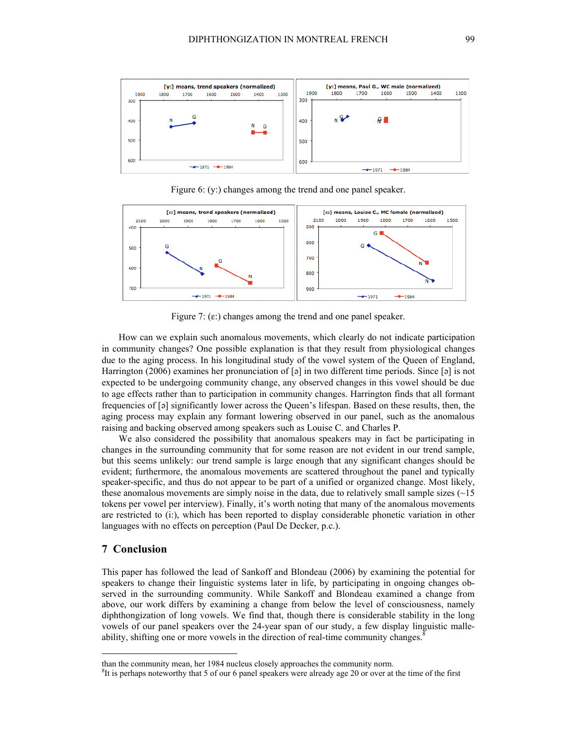

Figure 6: (y:) changes among the trend and one panel speaker.



Figure 7:  $(\varepsilon)$  changes among the trend and one panel speaker.

How can we explain such anomalous movements, which clearly do not indicate participation in community changes? One possible explanation is that they result from physiological changes due to the aging process. In his longitudinal study of the vowel system of the Queen of England, Harrington (2006) examines her pronunciation of  $\lceil 5 \rceil$  in two different time periods. Since  $\lceil 5 \rceil$  is not expected to be undergoing community change, any observed changes in this vowel should be due to age effects rather than to participation in community changes. Harrington finds that all formant frequencies of  $[\circ]$  significantly lower across the Queen's lifespan. Based on these results, then, the aging process may explain any formant lowering observed in our panel, such as the anomalous raising and backing observed among speakers such as Louise C. and Charles P.

We also considered the possibility that anomalous speakers may in fact be participating in changes in the surrounding community that for some reason are not evident in our trend sample, but this seems unlikely: our trend sample is large enough that any significant changes should be evident; furthermore, the anomalous movements are scattered throughout the panel and typically speaker-specific, and thus do not appear to be part of a unified or organized change. Most likely, these anomalous movements are simply noise in the data, due to relatively small sample sizes  $(\sim 15$ tokens per vowel per interview). Finally, it's worth noting that many of the anomalous movements are restricted to (i:), which has been reported to display considerable phonetic variation in other languages with no effects on perception (Paul De Decker, p.c.).

# **7 Conclusion**

This paper has followed the lead of Sankoff and Blondeau (2006) by examining the potential for speakers to change their linguistic systems later in life, by participating in ongoing changes observed in the surrounding community. While Sankoff and Blondeau examined a change from above, our work differs by examining a change from below the level of consciousness, namely diphthongization of long vowels. We find that, though there is considerable stability in the long vowels of our panel speakers over the 24-year span of our study, a few display linguistic malleability, shifting one or more vowels in the direction of real-time community changes.<sup>8</sup>

than the community mean, her 1984 nucleus closely approaches the community norm. <sup>8</sup>

 ${}^{8}$ It is perhaps noteworthy that 5 of our 6 panel speakers were already age 20 or over at the time of the first